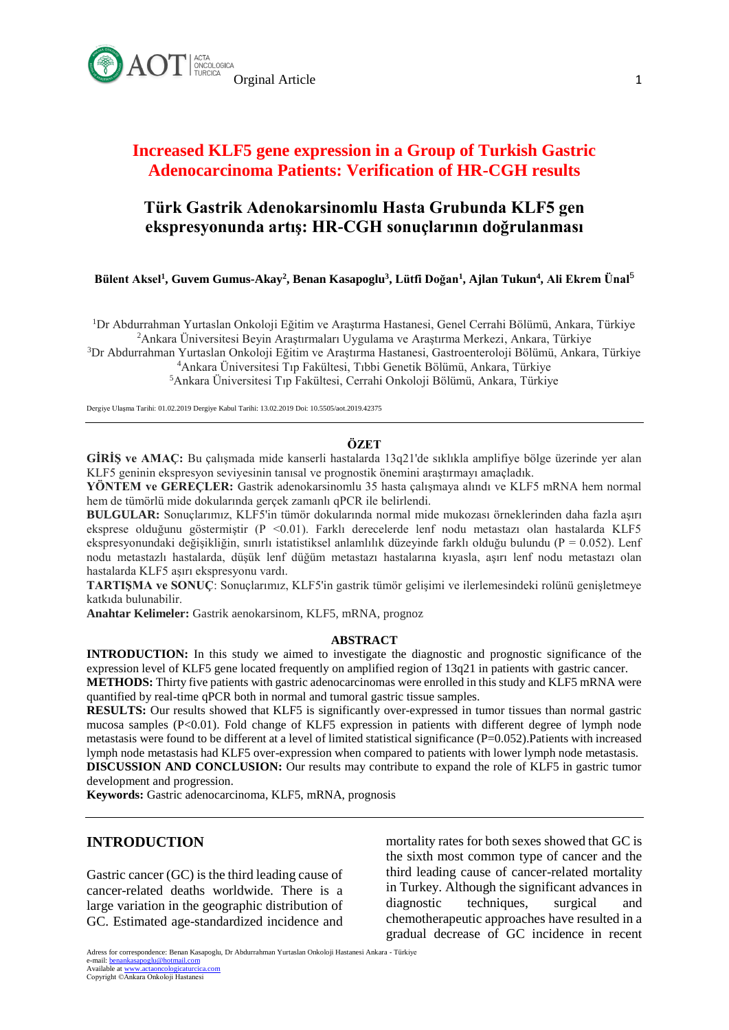

# **Increased KLF5 gene expression in a Group of Turkish Gastric Adenocarcinoma Patients: Verification of HR-CGH results**

# **Türk Gastrik Adenokarsinomlu Hasta Grubunda KLF5 gen ekspresyonunda artış: HR-CGH sonuçlarının doğrulanması**

**[Bülent Aksel](javascript:lookus()<sup>1</sup> , [Guvem Gumus-Akay](javascript:lookus()<sup>2</sup> , [Benan Kasapoglu](javascript:lookus()<sup>3</sup> , [Lütfi Doğan](javascript:lookus()<sup>1</sup> , [Ajlan Tukun](javascript:lookus()<sup>4</sup> , [Ali Ekrem Ünal](javascript:lookus()**<sup>5</sup>

<sup>1</sup>Dr Abdurrahman Yurtaslan Onkoloji Eğitim ve Araştırma Hastanesi, Genel Cerrahi Bölümü, Ankara, Türkiye <sup>2</sup>Ankara Üniversitesi Beyin Araştırmaları Uygulama ve Araştırma Merkezi, Ankara, Türkiye

<sup>3</sup>Dr Abdurrahman Yurtaslan Onkoloji Eğitim ve Araştırma Hastanesi, Gastroenteroloji Bölümü, Ankara, Türkiye <sup>4</sup>Ankara Üniversitesi Tıp Fakültesi, Tıbbi Genetik Bölümü, Ankara, Türkiye

<sup>5</sup>Ankara Üniversitesi Tıp Fakültesi, Cerrahi Onkoloji Bölümü, Ankara, Türkiye

Dergiye Ulaşma Tarihi: 01.02.2019 Dergiye Kabul Tarihi: 13.02.2019 Doi: 10.5505/aot.2019.42375

### **ÖZET**

**GİRİŞ ve AMAÇ:** Bu çalışmada mide kanserli hastalarda 13q21'de sıklıkla amplifiye bölge üzerinde yer alan KLF5 geninin ekspresyon seviyesinin tanısal ve prognostik önemini araştırmayı amaçladık.

**YÖNTEM ve GEREÇLER:** Gastrik adenokarsinomlu 35 hasta çalışmaya alındı ve KLF5 mRNA hem normal hem de tümörlü mide dokularında gerçek zamanlı qPCR ile belirlendi.

**BULGULAR:** Sonuçlarımız, KLF5'in tümör dokularında normal mide mukozası örneklerinden daha fazla aşırı eksprese olduğunu göstermiştir (P <0.01). Farklı derecelerde lenf nodu metastazı olan hastalarda KLF5 ekspresyonundaki değişikliğin, sınırlı istatistiksel anlamlılık düzeyinde farklı olduğu bulundu ( $P = 0.052$ ). Lenf nodu metastazlı hastalarda, düşük lenf düğüm metastazı hastalarına kıyasla, aşırı lenf nodu metastazı olan hastalarda KLF5 aşırı ekspresyonu vardı.

**TARTIŞMA ve SONUÇ**: Sonuçlarımız, KLF5'in gastrik tümör gelişimi ve ilerlemesindeki rolünü genişletmeye katkıda bulunabilir.

**Anahtar Kelimeler:** Gastrik aenokarsinom, KLF5, mRNA, prognoz

### **ABSTRACT**

**INTRODUCTION:** In this study we aimed to investigate the diagnostic and prognostic significance of the expression level of KLF5 gene located frequently on amplified region of 13q21 in patients with gastric cancer.

**METHODS:** Thirty five patients with gastric adenocarcinomas were enrolled in this study and KLF5 mRNA were quantified by real-time qPCR both in normal and tumoral gastric tissue samples.

**RESULTS:** Our results showed that KLF5 is significantly over-expressed in tumor tissues than normal gastric mucosa samples (P<0.01). Fold change of KLF5 expression in patients with different degree of lymph node metastasis were found to be different at a level of limited statistical significance (P=0.052). Patients with increased lymph node metastasis had KLF5 over-expression when compared to patients with lower lymph node metastasis. **DISCUSSION AND CONCLUSION:** Our results may contribute to expand the role of KLF5 in gastric tumor development and progression.

**Keywords:** Gastric adenocarcinoma, KLF5, mRNA, prognosis

### **INTRODUCTION**

Gastric cancer (GC) is the third leading cause of cancer-related deaths worldwide. There is a large variation in the geographic distribution of GC. Estimated age-standardized incidence and mortality rates for both sexes showed that GC is the sixth most common type of cancer and the third leading cause of cancer-related mortality in Turkey. Although the significant advances in diagnostic techniques, surgical and chemotherapeutic approaches have resulted in a gradual decrease of GC incidence in recent

Adress for correspondence: Benan Kasapoglu, Dr Abdurrahman Yurtaslan Onkoloji Hastanesi Ankara - Türkiye e-mail: <u>benankasapoglu@hotmail.com</u><br>Available at <u>www.actaoncologicaturcica.com</u><br>Copyright ©Ankara Onkoloji Hastanesi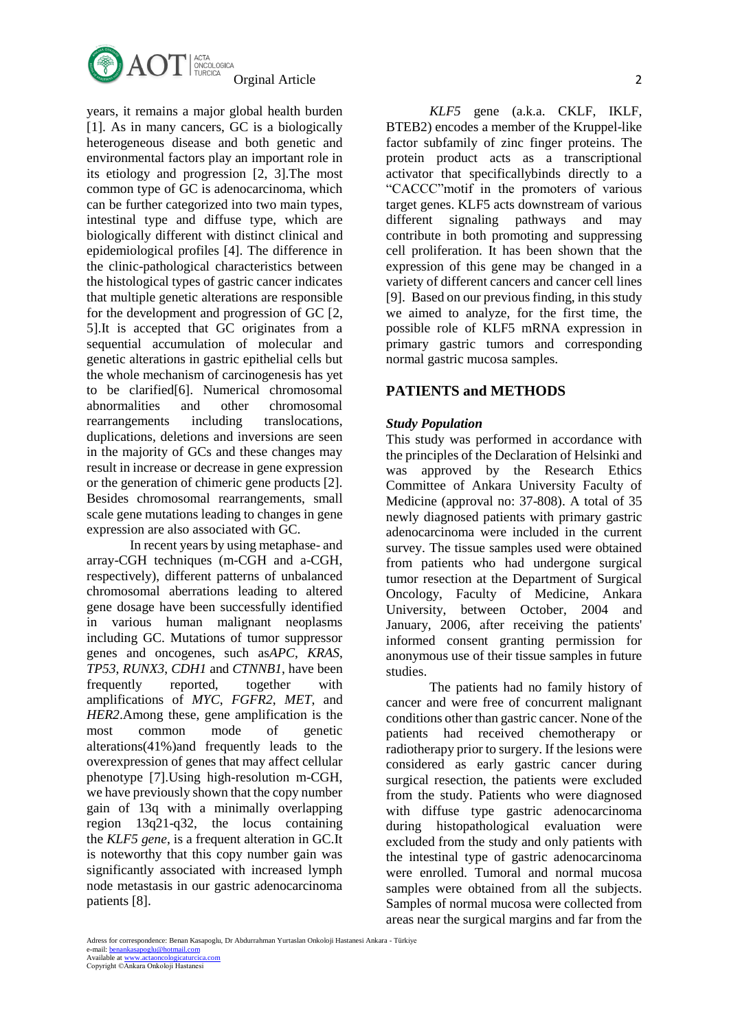

years, it remains a major global health burden [1]. As in many cancers, GC is a biologically heterogeneous disease and both genetic and environmental factors play an important role in its etiology and progression [2, 3].The most common type of GC is adenocarcinoma, which can be further categorized into two main types, intestinal type and diffuse type, which are biologically different with distinct clinical and epidemiological profiles [4]. The difference in the clinic-pathological characteristics between the histological types of gastric cancer indicates that multiple genetic alterations are responsible for the development and progression of GC [\[2,](https://www.ncbi.nlm.nih.gov/pmc/articles/PMC4471538/#b2-mco-0-0-486) 5].It is accepted that GC originates from a sequential accumulation of molecular and genetic alterations in gastric epithelial cells but the whole mechanism of carcinogenesis has yet to be clarified[6]. Numerical chromosomal abnormalities and other chromosomal rearrangements including translocations, duplications, deletions and inversions are seen in the majority of GCs and these changes may result in increase or decrease in gene expression or the generation of chimeric gene products [2]. Besides chromosomal rearrangements, small scale gene mutations leading to changes in gene expression are also associated with GC.

In recent years by using metaphase- and array-CGH techniques (m-CGH and a-CGH, respectively), different patterns of unbalanced chromosomal aberrations leading to altered gene dosage have been successfully identified in various human malignant neoplasms including GC. Mutations of tumor suppressor genes and oncogenes, such as*APC*, *KRAS*, *TP53*, *RUNX3*, *CDH1* and *CTNNB1*, have been frequently reported, together with amplifications of *MYC*, *FGFR2*, *MET*, and *HER2*.Among these, gene amplification is the most common mode of genetic alterations(41%)and frequently leads to the overexpression of genes that may affect cellular phenotype [7].Using high-resolution m-CGH, we have previously shown that the copy number gain of 13q with a minimally overlapping region 13q21-q32, the locus containing the *KLF5 gene*, is a frequent alteration in GC.It is noteworthy that this copy number gain was significantly associated with increased lymph node metastasis in our gastric adenocarcinoma patients [8].

*KLF5* gene (a.k.a. CKLF, IKLF, BTEB2) encodes a member of the Kruppel-like factor subfamily of zinc finger proteins. The protein product acts as a transcriptional activator that specificallybinds directly to a "CACCC"motif in the promoters of various target genes. KLF5 acts downstream of various different signaling pathways and may contribute in both promoting and suppressing cell proliferation. It has been shown that the expression of this gene may be changed in a variety of different cancers and cancer cell lines [9]. Based on our previous finding, in this study we aimed to analyze, for the first time, the possible role of KLF5 mRNA expression in primary gastric tumors and corresponding normal gastric mucosa samples.

## **PATIENTS and METHODS**

### *Study Population*

This study was performed in accordance with the principles of the Declaration of Helsinki and was approved by the Research Ethics Committee of Ankara University Faculty of Medicine (approval no: 37-808). A total of 35 newly diagnosed patients with primary gastric adenocarcinoma were included in the current survey. The tissue samples used were obtained from patients who had undergone surgical tumor resection at the Department of Surgical Oncology, Faculty of Medicine, Ankara University, between October, 2004 and January, 2006, after receiving the patients' informed consent granting permission for anonymous use of their tissue samples in future studies.

The patients had no family history of cancer and were free of concurrent malignant conditions other than gastric cancer. None of the patients had received chemotherapy or radiotherapy prior to surgery. If the lesions were considered as early gastric cancer during surgical resection, the patients were excluded from the study. Patients who were diagnosed with diffuse type gastric adenocarcinoma during histopathological evaluation were excluded from the study and only patients with the intestinal type of gastric adenocarcinoma were enrolled. Tumoral and normal mucosa samples were obtained from all the subjects. Samples of normal mucosa were collected from areas near the surgical margins and far from the

e-mail: <u>benankasapoglu@hotmail.com</u><br>Available at <u>www.actaoncologicaturcica.com</u>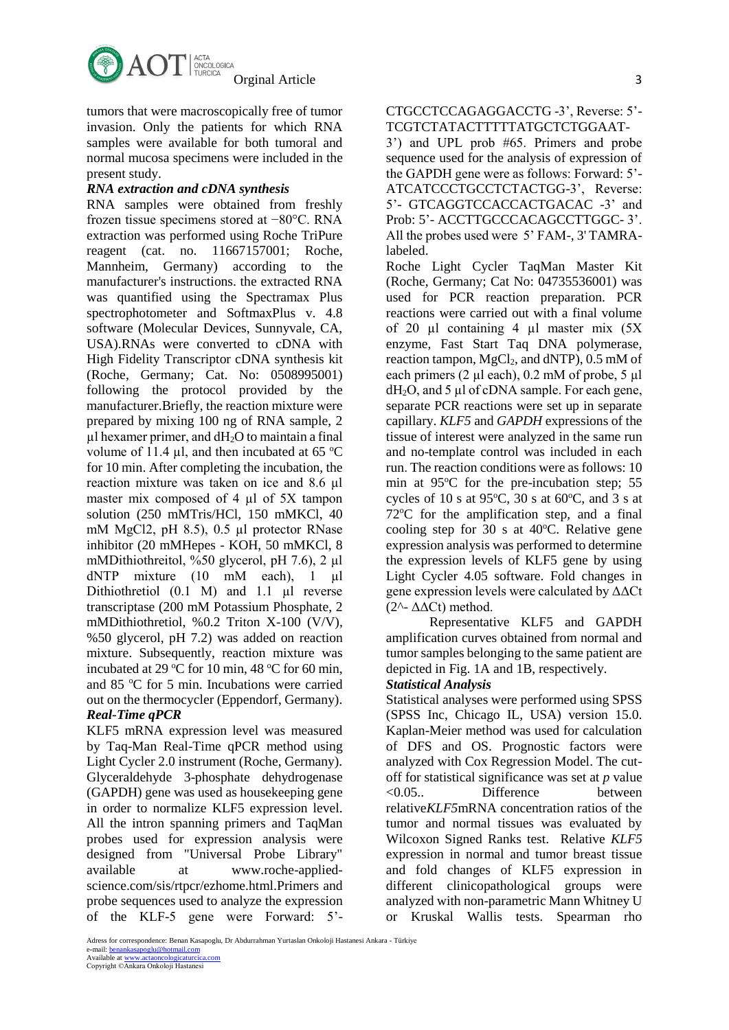

tumors that were macroscopically free of tumor invasion. Only the patients for which RNA samples were available for both tumoral and normal mucosa specimens were included in the present study.

## *RNA extraction and cDNA synthesis*

RNA samples were obtained from freshly frozen tissue specimens stored at −80°C. RNA extraction was performed using Roche TriPure reagent (cat. no. 11667157001; Roche, Mannheim, Germany) according to the manufacturer's instructions. the extracted RNA was quantified using the Spectramax Plus spectrophotometer and SoftmaxPlus v. 4.8 software (Molecular Devices, Sunnyvale, CA, USA).RNAs were converted to cDNA with High Fidelity Transcriptor cDNA synthesis kit (Roche, Germany; Cat. No: 0508995001) following the protocol provided by the manufacturer.Briefly, the reaction mixture were prepared by mixing 100 ng of RNA sample, 2  $\mu$ l hexamer primer, and dH<sub>2</sub>O to maintain a final volume of 11.4  $\mu$ l, and then incubated at 65 °C for 10 min. After completing the incubation, the reaction mixture was taken on ice and 8.6 µl master mix composed of 4 µl of 5X tampon solution (250 mMTris/HCl, 150 mMKCl, 40 mM MgCl2, pH 8.5), 0.5 µl protector RNase inhibitor (20 mMHepes - KOH, 50 mMKCl, 8 mMDithiothreitol, %50 glycerol, pH 7.6), 2 µl dNTP mixture (10 mM each), 1 µl Dithiothretiol (0.1 M) and 1.1 µl reverse transcriptase (200 mM Potassium Phosphate, 2 mMDithiothretiol, %0.2 Triton X-100 (V/V), %50 glycerol, pH 7.2) was added on reaction mixture. Subsequently, reaction mixture was incubated at 29  $\mathrm{^{\circ}C}$  for 10 min, 48  $\mathrm{^{\circ}C}$  for 60 min, and 85 °C for 5 min. Incubations were carried out on the thermocycler (Eppendorf, Germany). *Real-Time qPCR*

# KLF5 mRNA expression level was measured

by Taq-Man Real-Time qPCR method using Light Cycler 2.0 instrument (Roche, Germany). Glyceraldehyde 3-phosphate dehydrogenase (GAPDH) gene was used as housekeeping gene in order to normalize KLF5 expression level. All the intron spanning primers and TaqMan probes used for expression analysis were designed from "Universal Probe Library" available at www.roche-appliedscience.com/sis/rtpcr/ezhome.html.Primers and probe sequences used to analyze the expression of the KLF-5 gene were Forward: 5'-

3') and UPL prob #65. Primers and probe sequence used for the analysis of expression of the GAPDH gene were as follows: Forward: 5'- ATCATCCCTGCCTCTACTGG-3', Reverse: 5'- GTCAGGTCCACCACTGACAC -3' and Prob: 5'-ACCTTGCCCACAGCCTTGGC-3'. All the probes used were 5' FAM-, 3' TAMRAlabeled.

Roche Light Cycler TaqMan Master Kit (Roche, Germany; Cat No: 04735536001) was used for PCR reaction preparation. PCR reactions were carried out with a final volume of 20 µl containing 4 µl master mix (5X enzyme, Fast Start Taq DNA polymerase, reaction tampon,  $MgCl<sub>2</sub>$ , and dNTP), 0.5 mM of each primers  $(2 \mu l \text{ each}), 0.2 \text{ mM of probe}, 5 \mu l$  $dH<sub>2</sub>O$ , and 5 µl of cDNA sample. For each gene, separate PCR reactions were set up in separate capillary. *KLF5* and *GAPDH* expressions of the tissue of interest were analyzed in the same run and no-template control was included in each run. The reaction conditions were as follows: 10 min at  $95^{\circ}$ C for the pre-incubation step; 55 cycles of 10 s at 95 $\degree$ C, 30 s at 60 $\degree$ C, and 3 s at  $72^{\circ}$ C for the amplification step, and a final cooling step for 30 s at  $40^{\circ}$ C. Relative gene expression analysis was performed to determine the expression levels of KLF5 gene by using Light Cycler 4.05 software. Fold changes in gene expression levels were calculated by ΔΔCt ( $2^$ -  $ΔΔCt)$  method.

Representative KLF5 and GAPDH amplification curves obtained from normal and tumor samples belonging to the same patient are depicted in Fig. 1A and 1B, respectively.

# *Statistical Analysis*

Statistical analyses were performed using SPSS (SPSS Inc, Chicago IL, USA) version 15.0. Kaplan-Meier method was used for calculation of DFS and OS. Prognostic factors were analyzed with Cox Regression Model. The cutoff for statistical significance was set at *p* value <0.05.. Difference between relative*KLF5*mRNA concentration ratios of the tumor and normal tissues was evaluated by Wilcoxon Signed Ranks test. Relative *KLF5* expression in normal and tumor breast tissue and fold changes of KLF5 expression in different clinicopathological groups were analyzed with non-parametric Mann Whitney U or Kruskal Wallis tests. Spearman rho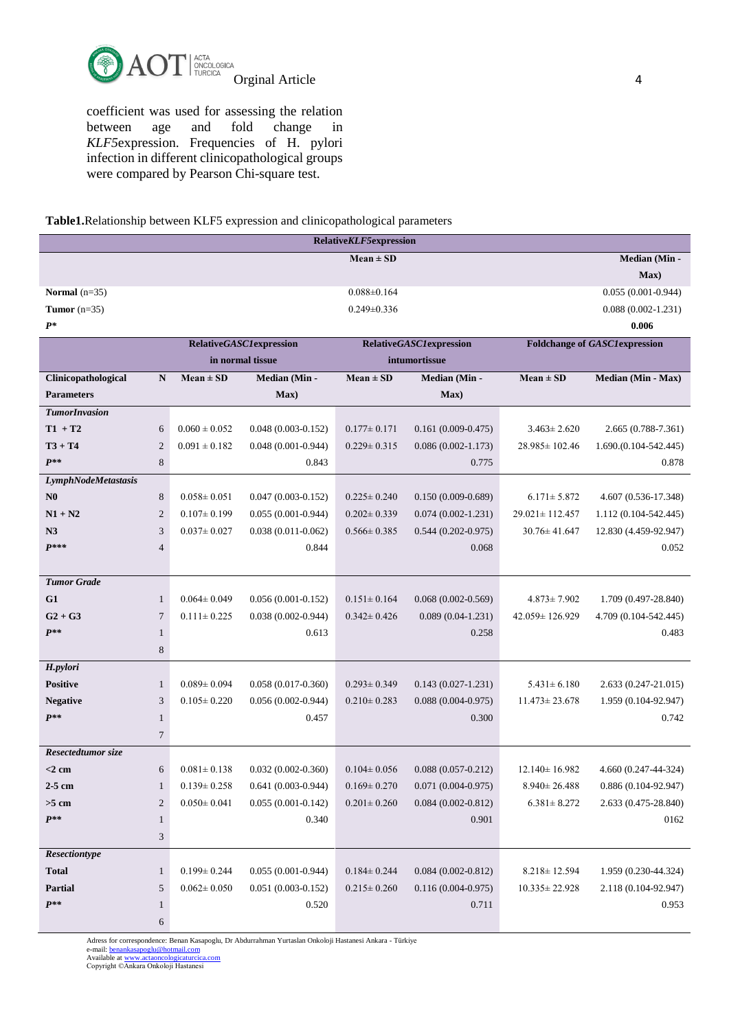

coefficient was used for assessing the relation between age and fold change in *KLF5*expression. Frequencies of H. pylori infection in different clinicopathological groups were compared by Pearson Chi-square test.

**Table1.**Relationship between KLF5 expression and clinicopathological parameters

| <b>RelativeKLF5expression</b> |                |                                                                  |                        |                   |                        |                                      |                        |
|-------------------------------|----------------|------------------------------------------------------------------|------------------------|-------------------|------------------------|--------------------------------------|------------------------|
|                               |                |                                                                  |                        | $Mean \pm SD$     |                        |                                      | Median (Min -          |
|                               |                |                                                                  |                        |                   |                        |                                      | Max)                   |
| Normal $(n=35)$               |                |                                                                  |                        | $0.088 \pm 0.164$ |                        |                                      | $0.055(0.001 - 0.944)$ |
| Tumor $(n=35)$                |                |                                                                  |                        | $0.249 \pm 0.336$ |                        |                                      | $0.088(0.002 - 1.231)$ |
| $P^*$                         |                |                                                                  |                        |                   |                        |                                      | 0.006                  |
|                               |                | <b>RelativeGASC1expression</b><br><b>RelativeGASC1expression</b> |                        |                   |                        | <b>Foldchange of GASC1expression</b> |                        |
|                               |                | in normal tissue                                                 |                        | intumortissue     |                        |                                      |                        |
| Clinicopathological           | ${\bf N}$      | $Mean \pm SD$                                                    | Median (Min-           | $Mean \pm SD$     | Median (Min -          | $Mean \pm SD$                        | Median (Min - Max)     |
| <b>Parameters</b>             |                |                                                                  | Max)                   |                   | Max)                   |                                      |                        |
| <b>TumorInvasion</b>          |                |                                                                  |                        |                   |                        |                                      |                        |
| $T1 + T2$                     | 6              | $0.060 \pm 0.052$                                                | $0.048(0.003 - 0.152)$ | $0.177 \pm 0.171$ | $0.161(0.009 - 0.475)$ | $3.463 \pm 2.620$                    | 2.665 (0.788-7.361)    |
| $T3 + T4$                     | $\mathbf{2}$   | $0.091 \pm 0.182$                                                | $0.048(0.001 - 0.944)$ | $0.229 \pm 0.315$ | $0.086(0.002 - 1.173)$ | 28.985 ± 102.46                      | $1.690(0.104-542.445)$ |
| $P^{**}$                      | 8              |                                                                  | 0.843                  |                   | 0.775                  |                                      | 0.878                  |
| LymphNodeMetastasis           |                |                                                                  |                        |                   |                        |                                      |                        |
| N <sub>0</sub>                | $\,8\,$        | $0.058 \pm 0.051$                                                | $0.047(0.003 - 0.152)$ | $0.225 \pm 0.240$ | $0.150(0.009 - 0.689)$ | $6.171 \pm 5.872$                    | 4.607 (0.536-17.348)   |
| $N1 + N2$                     | $\mathfrak{2}$ | $0.107 \pm 0.199$                                                | $0.055(0.001 - 0.944)$ | $0.202 \pm 0.339$ | $0.074(0.002 - 1.231)$ | $29.021 \pm 112.457$                 | 1.112 (0.104-542.445)  |
| N <sub>3</sub>                | 3              | $0.037 \pm 0.027$                                                | $0.038(0.011 - 0.062)$ | $0.566 \pm 0.385$ | $0.544(0.202 - 0.975)$ | $30.76 \pm 41.647$                   | 12.830 (4.459-92.947)  |
| $P***$                        | $\overline{4}$ |                                                                  | 0.844                  |                   | 0.068                  |                                      | 0.052                  |
|                               |                |                                                                  |                        |                   |                        |                                      |                        |
| <b>Tumor Grade</b>            |                |                                                                  |                        |                   |                        |                                      |                        |
| G1                            | $\mathbf{1}$   | $0.064 \pm 0.049$                                                | $0.056(0.001 - 0.152)$ | $0.151 \pm 0.164$ | $0.068(0.002 - 0.569)$ | $4.873 \pm 7.902$                    | 1.709 (0.497-28.840)   |
| $G2 + G3$                     | 7              | $0.111 \pm 0.225$                                                | $0.038(0.002 - 0.944)$ | $0.342 \pm 0.426$ | $0.089(0.04-1.231)$    | 42.059 ± 126.929                     | 4.709 (0.104-542.445)  |
| $P^{**}$                      | $\mathbf{1}$   |                                                                  | 0.613                  |                   | 0.258                  |                                      | 0.483                  |
|                               | 8              |                                                                  |                        |                   |                        |                                      |                        |
| H.pylori                      |                |                                                                  |                        |                   |                        |                                      |                        |
| <b>Positive</b>               | $\mathbf{1}$   | $0.089 \pm 0.094$                                                | $0.058(0.017-0.360)$   | $0.293 \pm 0.349$ | $0.143(0.027-1.231)$   | $5.431 \pm 6.180$                    | 2.633 (0.247-21.015)   |
| <b>Negative</b>               | $\mathfrak{Z}$ | $0.105 \pm 0.220$                                                | $0.056(0.002 - 0.944)$ | $0.210 \pm 0.283$ | $0.088(0.004 - 0.975)$ | $11.473 \pm 23.678$                  | 1.959 (0.104-92.947)   |
| $P^{**}$                      | $\mathbf{1}$   |                                                                  | 0.457                  |                   | 0.300                  |                                      | 0.742                  |
|                               | $\overline{7}$ |                                                                  |                        |                   |                        |                                      |                        |
| Resectedtumor size            |                |                                                                  |                        |                   |                        |                                      |                        |
| $<$ 2 cm                      | 6              | $0.081 \pm 0.138$                                                | $0.032(0.002 - 0.360)$ | $0.104 \pm 0.056$ | $0.088(0.057-0.212)$   | $12.140 \pm 16.982$                  | 4.660 (0.247-44-324)   |
| $2-5$ cm                      | $\mathbf{1}$   | $0.139 \pm 0.258$                                                | $0.641(0.003-0.944)$   | $0.169 \pm 0.270$ | $0.071(0.004 - 0.975)$ | $8.940 \pm 26.488$                   | 0.886 (0.104-92.947)   |
| $>5$ cm                       | $\sqrt{2}$     | $0.050 \pm 0.041$                                                | $0.055(0.001 - 0.142)$ | $0.201 \pm 0.260$ | $0.084(0.002 - 0.812)$ | $6.381 \pm 8.272$                    | 2.633 (0.475-28.840)   |
| $P^{**}$                      | $\mathbf{1}$   |                                                                  | 0.340                  |                   | 0.901                  |                                      | 0162                   |
|                               | 3              |                                                                  |                        |                   |                        |                                      |                        |
| Resectiontype                 |                |                                                                  |                        |                   |                        |                                      |                        |
| Total                         | $\mathbf{1}$   | $0.199 \pm 0.244$                                                | $0.055(0.001 - 0.944)$ | $0.184 \pm 0.244$ | $0.084(0.002 - 0.812)$ | $8.218 \pm 12.594$                   | 1.959 (0.230-44.324)   |
| <b>Partial</b>                | 5              | $0.062 \pm 0.050$                                                | $0.051(0.003 - 0.152)$ | $0.215 \pm 0.260$ | $0.116(0.004 - 0.975)$ | $10.335 \pm 22.928$                  | 2.118 (0.104-92.947)   |
| $P^{**}$                      | $\mathbf{1}$   |                                                                  | 0.520                  |                   | 0.711                  |                                      | 0.953                  |
|                               | 6              |                                                                  |                        |                   |                        |                                      |                        |

Adress for correspondence: Benan Kasapoglu, Dr Abdurrahman Yurtaslan Onkoloji Hastanesi Ankara - Türkiye

e-mail: <u>benankasapoglu@hotmail.com</u><br>Available at <u>www.actaoncologicaturcica.com</u><br>Copyright ©Ankara Onkoloji Hastanesi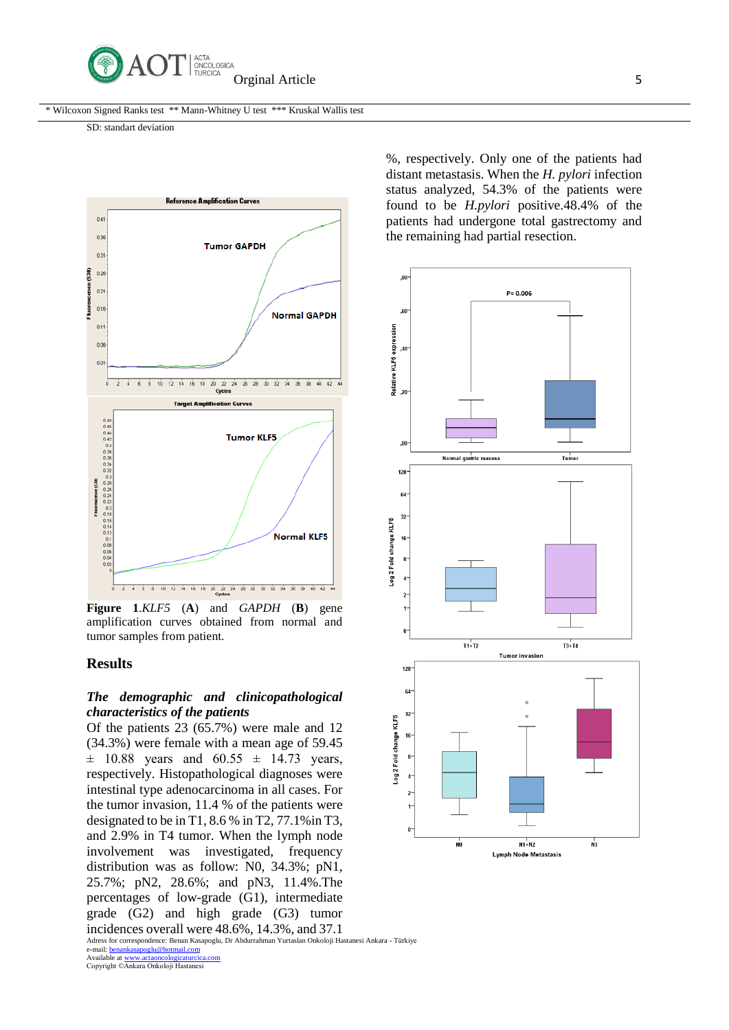

\* Wilcoxon Signed Ranks test \*\* Mann-Whitney U test \*\*\* Kruskal Wallis test

SD: standart deviation



**Figure 1**.*KLF5* (**A**) and *GAPDH* (**B**) gene amplification curves obtained from normal and tumor samples from patient.

## **Results**

### *The demographic and clinicopathological characteristics of the patients*

Of the patients 23 (65.7%) were male and 12 (34.3%) were female with a mean age of 59.45  $\pm$  10.88 years and 60.55  $\pm$  14.73 years, respectively. Histopathological diagnoses were intestinal type adenocarcinoma in all cases. For the tumor invasion, 11.4 % of the patients were designated to be in T1, 8.6 % in T2, 77.1%in T3, and 2.9% in T4 tumor. When the lymph node involvement was investigated, frequency distribution was as follow: N0, 34.3%; pN1, 25.7%; pN2, 28.6%; and pN3, 11.4%.The percentages of low-grade (G1), intermediate grade (G2) and high grade (G3) tumor incidences overall were 48.6%, 14.3%, and 37.1

Adress for correspondence: Benan Kasapoglu, Dr Abdurrahman Yurtaslan Onkoloji Hastanesi Ankara - Türkiye e-mail: <u>benankasapoglu@hotmail.com</u><br>Available at <u>www.actaoncologicaturcica.com</u>

Copyright ©Ankara Onkoloji Hastanesi

%, respectively. Only one of the patients had distant metastasis. When the *H. pylori* infection status analyzed, 54.3% of the patients were found to be *H.pylori* positive.48.4% of the patients had undergone total gastrectomy and the remaining had partial resection.

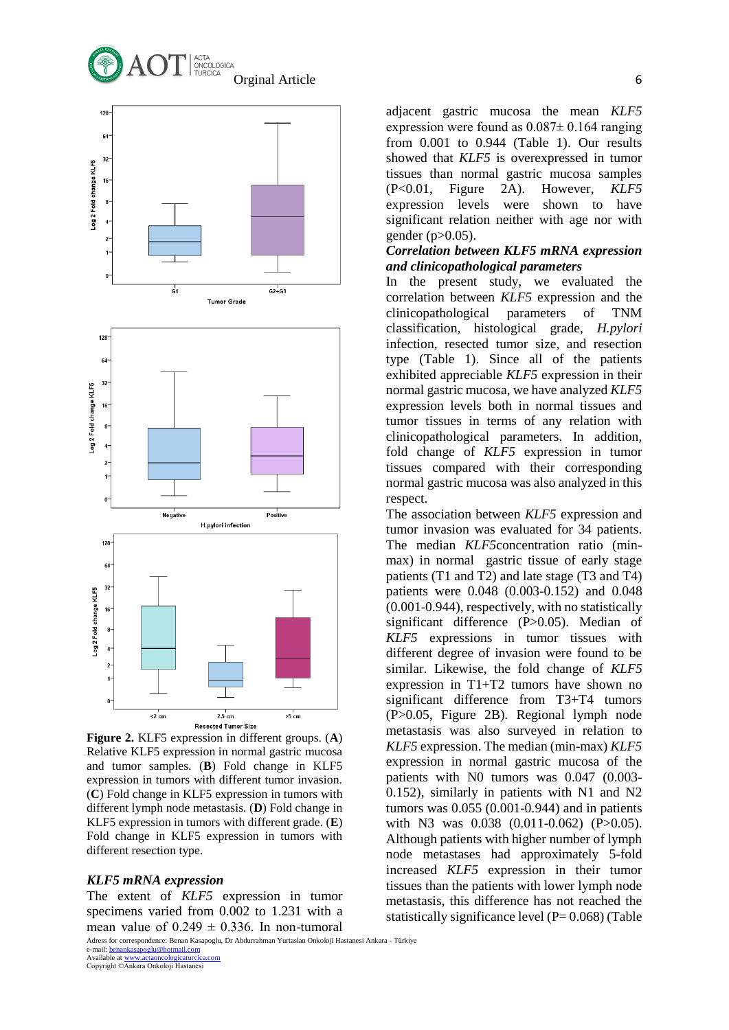



**Figure 2.** KLF5 expression in different groups. (**A**) Relative KLF5 expression in normal gastric mucosa and tumor samples. (**B**) Fold change in KLF5 expression in tumors with different tumor invasion. (**C**) Fold change in KLF5 expression in tumors with different lymph node metastasis. (**D**) Fold change in KLF5 expression in tumors with different grade. (**E**) Fold change in KLF5 expression in tumors with different resection type.

#### *KLF5 mRNA expression*

The extent of *KLF5* expression in tumor specimens varied from 0.002 to 1.231 with a mean value of  $0.249 \pm 0.336$ . In non-tumoral

Adress for correspondence: Benan Kasapoglu, Dr Abdurrahman Yurtaslan Onkoloji Hastanesi Ankara - Türkiye e-mail: <u>benankasapoglu@hotmail.com</u><br>Available at <u>www.actaoncologicaturcica.com</u>

Copyright ©Ankara Onkoloji Hastanesi

adjacent gastric mucosa the mean *KLF5* expression were found as  $0.087 \pm 0.164$  ranging from 0.001 to 0.944 (Table 1). Our results showed that *KLF5* is overexpressed in tumor tissues than normal gastric mucosa samples (P<0.01, Figure 2A). However, *KLF5* expression levels were shown to have significant relation neither with age nor with gender (p>0.05).

### *Correlation between KLF5 mRNA expression and clinicopathological parameters*

In the present study, we evaluated the correlation between *KLF5* expression and the clinicopathological parameters of TNM classification, histological grade, *H.pylori* infection, resected tumor size, and resection type (Table 1). Since all of the patients exhibited appreciable *KLF5* expression in their normal gastric mucosa, we have analyzed *KLF5* expression levels both in normal tissues and tumor tissues in terms of any relation with clinicopathological parameters. In addition, fold change of *KLF5* expression in tumor tissues compared with their corresponding normal gastric mucosa was also analyzed in this respect.

The association between *KLF5* expression and tumor invasion was evaluated for 34 patients. The median *KLF5*concentration ratio (minmax) in normal gastric tissue of early stage patients (T1 and T2) and late stage (T3 and T4) patients were 0.048 (0.003-0.152) and 0.048 (0.001-0.944), respectively, with no statistically significant difference (P>0.05). Median of *KLF5* expressions in tumor tissues with different degree of invasion were found to be similar. Likewise, the fold change of *KLF5*  expression in T1+T2 tumors have shown no significant difference from T3+T4 tumors (P>0.05, Figure 2B). Regional lymph node metastasis was also surveyed in relation to *KLF5* expression. The median (min-max) *KLF5* expression in normal gastric mucosa of the patients with N0 tumors was 0.047 (0.003- 0.152), similarly in patients with N1 and N2 tumors was 0.055 (0.001-0.944) and in patients with N3 was 0.038 (0.011-0.062) (P>0.05). Although patients with higher number of lymph node metastases had approximately 5-fold increased *KLF5* expression in their tumor tissues than the patients with lower lymph node metastasis, this difference has not reached the statistically significance level  $(P= 0.068)$  (Table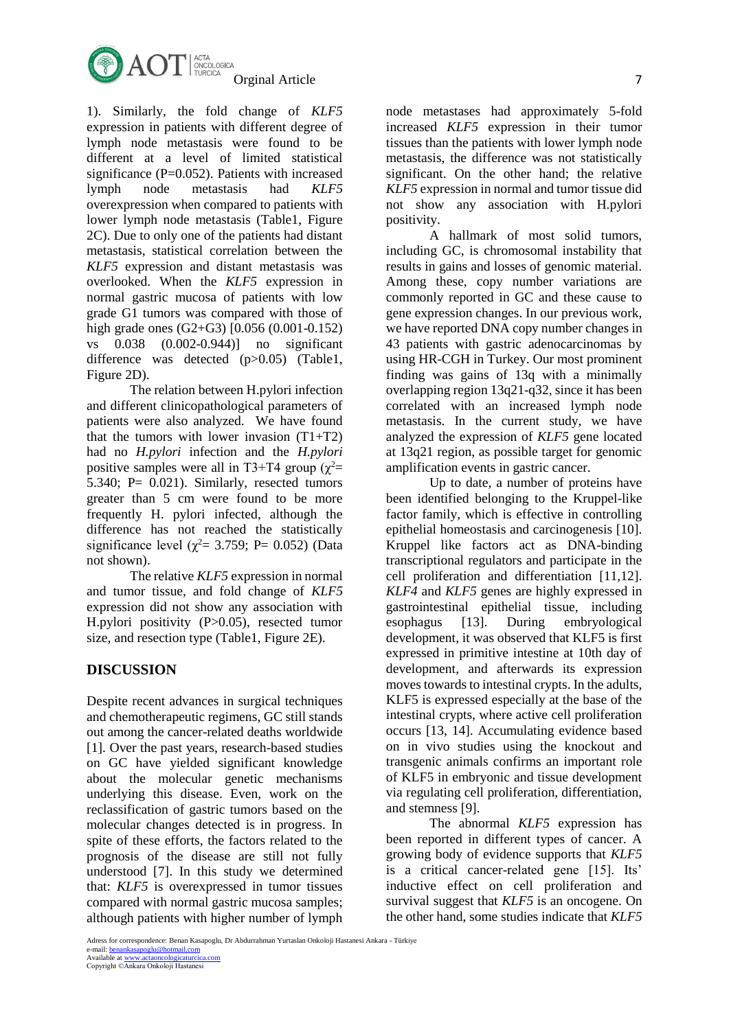

1). Similarly, the fold change of *KLF5* expression in patients with different degree of lymph node metastasis were found to be different at a level of limited statistical significance (P=0.052). Patients with increased lymph node metastasis had *KLF5* overexpression when compared to patients with lower lymph node metastasis (Table1, Figure 2C). Due to only one of the patients had distant metastasis, statistical correlation between the *KLF5* expression and distant metastasis was overlooked. When the *KLF5* expression in normal gastric mucosa of patients with low grade G1 tumors was compared with those of high grade ones (G2+G3) [0.056 (0.001-0.152) vs 0.038 (0.002-0.944)] no significant difference was detected (p>0.05) (Table1, Figure 2D).

The relation between H.pylori infection and different clinicopathological parameters of patients were also analyzed. We have found that the tumors with lower invasion  $(T1+T2)$ had no *H.pylori* infection and the *H.pylori* positive samples were all in T3+T4 group ( $\chi^2$ = 5.340; P= 0.021). Similarly, resected tumors greater than 5 cm were found to be more frequently H. pylori infected, although the difference has not reached the statistically significance level ( $\chi^2$ = 3.759; P= 0.052) (Data not shown).

The relative *KLF5* expression in normal and tumor tissue, and fold change of *KLF5* expression did not show any association with H.pylori positivity (P>0.05), resected tumor size, and resection type (Table1, Figure 2E).

# **DISCUSSION**

Despite recent advances in surgical techniques and chemotherapeutic regimens, GC still stands out among the cancer-related deaths worldwide [1]. Over the past years, research-based studies on GC have yielded significant knowledge about the molecular genetic mechanisms underlying this disease. Even, work on the reclassification of gastric tumors based on the molecular changes detected is in progress. In spite of these efforts, the factors related to the prognosis of the disease are still not fully understood [7]. In this study we determined that: *KLF5* is overexpressed in tumor tissues compared with normal gastric mucosa samples; although patients with higher number of lymph node metastases had approximately 5-fold increased *KLF5* expression in their tumor tissues than the patients with lower lymph node metastasis, the difference was not statistically significant. On the other hand; the relative *KLF5* expression in normal and tumor tissue did not show any association with H.pylori positivity.

A hallmark of most solid tumors, including GC, is chromosomal instability that results in gains and losses of genomic material. Among these, copy number variations are commonly reported in GC and these cause to gene expression changes. In our previous work, we have reported DNA copy number changes in 43 patients with gastric adenocarcinomas by using HR-CGH in Turkey. Our most prominent finding was gains of 13q with a minimally overlapping region 13q21-q32, since it has been correlated with an increased lymph node metastasis. In the current study, we have analyzed the expression of *KLF5* gene located at 13q21 region, as possible target for genomic amplification events in gastric cancer.

Up to date, a number of proteins have been identified belonging to the Kruppel-like factor family, which is effective in controlling epithelial homeostasis and carcinogenesis [10]. Kruppel like factors act as DNA-binding transcriptional regulators and participate in the cell proliferation and differentiation [11,12]. *KLF4* and *KLF5* genes are highly expressed in gastrointestinal epithelial tissue, including esophagus [13]. During embryological development, it was observed that KLF5 is first expressed in primitive intestine at 10th day of development, and afterwards its expression moves towards to intestinal crypts. In the adults, KLF5 is expressed especially at the base of the intestinal crypts, where active cell proliferation occurs [13, 14]. Accumulating evidence based on in vivo studies using the knockout and transgenic animals confirms an important role of KLF5 in embryonic and tissue development via regulating cell proliferation, differentiation, and stemness [9].

The abnormal *KLF5* expression has been reported in different types of cancer. A growing body of evidence supports that *KLF5* is a critical cancer-related gene [15]. Its' inductive effect on cell proliferation and survival suggest that *KLF5* is an oncogene. On the other hand, some studies indicate that *KLF5*

e-mail: <u>benankasapoglu@hotmail.com</u><br>Available at <u>www.actaoncologicaturcica.com</u><br>Copyright ©Ankara Onkoloji Hastanesi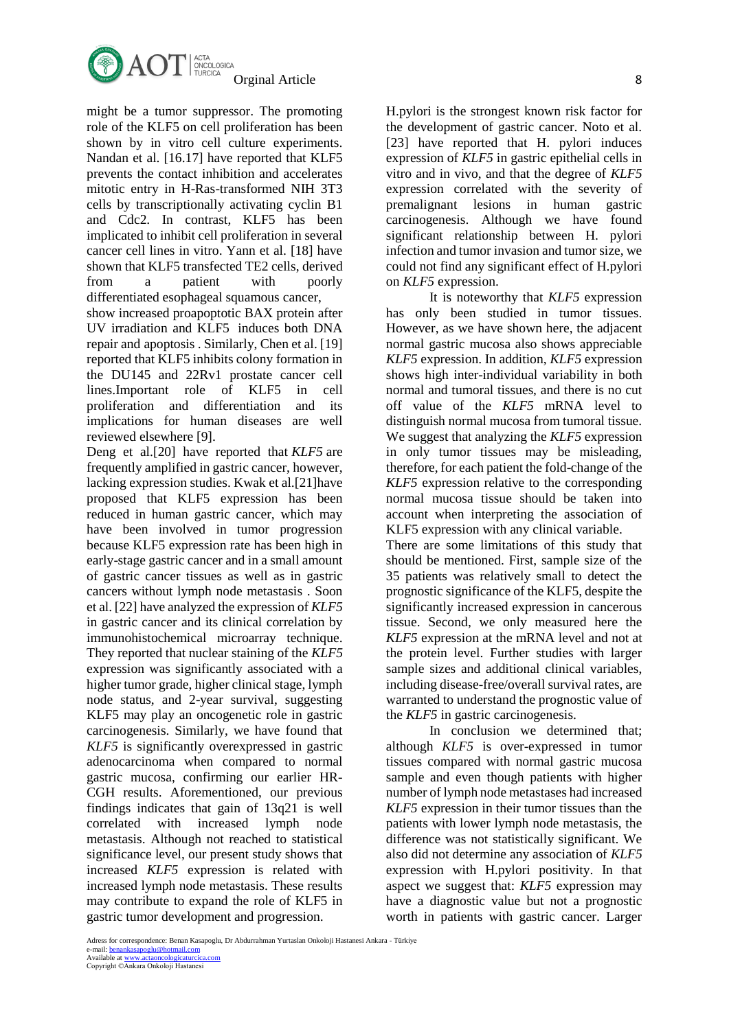

might be a tumor suppressor. The promoting role of the KLF5 on cell proliferation has been shown by in vitro cell culture experiments. Nandan et al. [16.17] have reported that KLF5 prevents the contact inhibition and accelerates mitotic entry in H-Ras-transformed NIH 3T3 cells by transcriptionally activating cyclin B1 and Cdc2. In contrast, KLF5 has been implicated to inhibit cell proliferation in several cancer cell lines in vitro. Yann et al. [18] have shown that KLF5 transfected TE2 cells, derived from a patient with poorly differentiated esophageal squamous cancer,

show increased proapoptotic BAX protein after UV irradiation and KLF5 induces both DNA repair and apoptosis . Similarly, Chen et al. [19] reported that KLF5 inhibits colony formation in the DU145 and 22Rv1 prostate cancer cell lines.Important role of KLF5 in cell proliferation and differentiation and its implications for human diseases are well reviewed elsewhere [9].

Deng et al.[20] have reported that *KLF5* are frequently amplified in gastric cancer, however, lacking expression studies. Kwak et al.[21]have proposed that KLF5 expression has been reduced in human gastric cancer, which may have been involved in tumor progression because KLF5 expression rate has been high in early-stage gastric cancer and in a small amount of gastric cancer tissues as well as in gastric cancers without lymph node metastasis . Soon et al. [22] have analyzed the expression of *KLF5* in gastric cancer and its clinical correlation by immunohistochemical microarray technique. They reported that nuclear staining of the *KLF5*  expression was significantly associated with a higher tumor grade, higher clinical stage, lymph node status, and 2-year survival, suggesting KLF5 may play an oncogenetic role in gastric carcinogenesis. Similarly, we have found that *KLF5* is significantly overexpressed in gastric adenocarcinoma when compared to normal gastric mucosa, confirming our earlier HR-CGH results. Aforementioned, our previous findings indicates that gain of 13q21 is well correlated with increased lymph node metastasis. Although not reached to statistical significance level, our present study shows that increased *KLF5* expression is related with increased lymph node metastasis. These results may contribute to expand the role of KLF5 in gastric tumor development and progression.

H.pylori is the strongest known risk factor for the development of gastric cancer. Noto et al. [23] have reported that H. pylori induces expression of *KLF5* in gastric epithelial cells in vitro and in vivo, and that the degree of *KLF5* expression correlated with the severity of premalignant lesions in human gastric carcinogenesis. Although we have found significant relationship between H. pylori infection and tumor invasion and tumor size, we could not find any significant effect of H.pylori on *KLF5* expression.

It is noteworthy that *KLF5* expression has only been studied in tumor tissues. However, as we have shown here, the adjacent normal gastric mucosa also shows appreciable *KLF5* expression. In addition, *KLF5* expression shows high inter-individual variability in both normal and tumoral tissues, and there is no cut off value of the *KLF5* mRNA level to distinguish normal mucosa from tumoral tissue. We suggest that analyzing the *KLF5* expression in only tumor tissues may be misleading, therefore, for each patient the fold-change of the *KLF5* expression relative to the corresponding normal mucosa tissue should be taken into account when interpreting the association of KLF5 expression with any clinical variable.

There are some limitations of this study that should be mentioned. First, sample size of the 35 patients was relatively small to detect the prognostic significance of the KLF5, despite the significantly increased expression in cancerous tissue. Second, we only measured here the *KLF5* expression at the mRNA level and not at the protein level. Further studies with larger sample sizes and additional clinical variables, including disease-free/overall survival rates, are warranted to understand the prognostic value of the *KLF5* in gastric carcinogenesis.

In conclusion we determined that; although *KLF5* is over-expressed in tumor tissues compared with normal gastric mucosa sample and even though patients with higher number of lymph node metastases had increased *KLF5* expression in their tumor tissues than the patients with lower lymph node metastasis, the difference was not statistically significant. We also did not determine any association of *KLF5* expression with H.pylori positivity. In that aspect we suggest that: *KLF5* expression may have a diagnostic value but not a prognostic worth in patients with gastric cancer. Larger

Adress for correspondence: Benan Kasapoglu, Dr Abdurrahman Yurtaslan Onkoloji Hastanesi Ankara - Türkiye